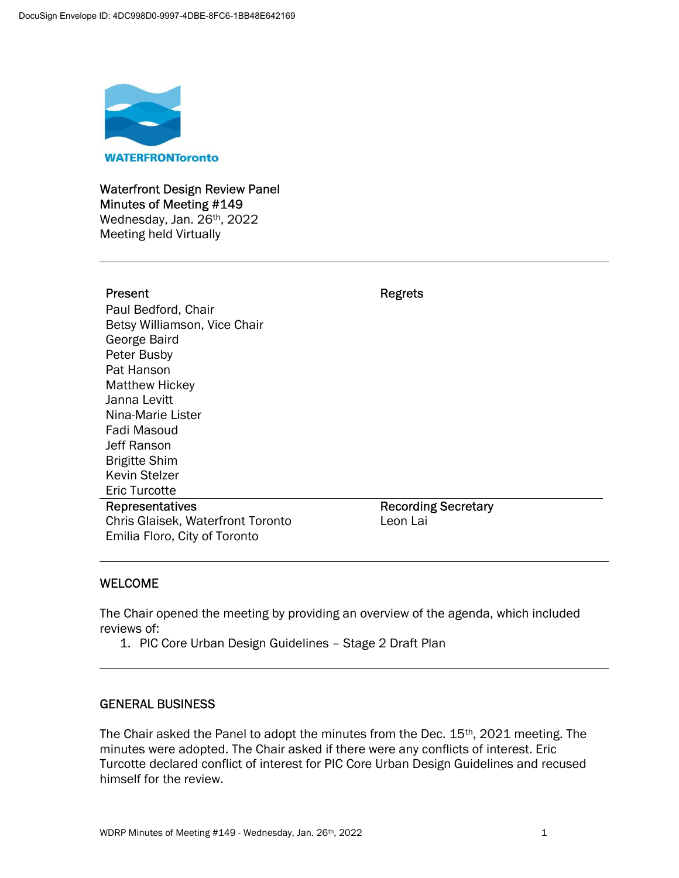

## Waterfront Design Review Panel Minutes of Meeting #149 Wednesday, Jan. 26<sup>th</sup>, 2022

Meeting held Virtually

I

### Present **Regrets**

Paul Bedford, Chair Betsy Williamson, Vice Chair George Baird Peter Busby Pat Hanson Matthew Hickey Janna Levitt Nina-Marie Lister Fadi Masoud Jeff Ranson Brigitte Shim Kevin Stelzer Eric Turcotte Representatives

Chris Glaisek, Waterfront Toronto Emilia Floro, City of Toronto

Recording Secretary Leon Lai

## WELCOME

The Chair opened the meeting by providing an overview of the agenda, which included reviews of:

1. PIC Core Urban Design Guidelines – Stage 2 Draft Plan

### GENERAL BUSINESS

The Chair asked the Panel to adopt the minutes from the Dec.  $15<sup>th</sup>$ , 2021 meeting. The minutes were adopted. The Chair asked if there were any conflicts of interest. Eric Turcotte declared conflict of interest for PIC Core Urban Design Guidelines and recused himself for the review.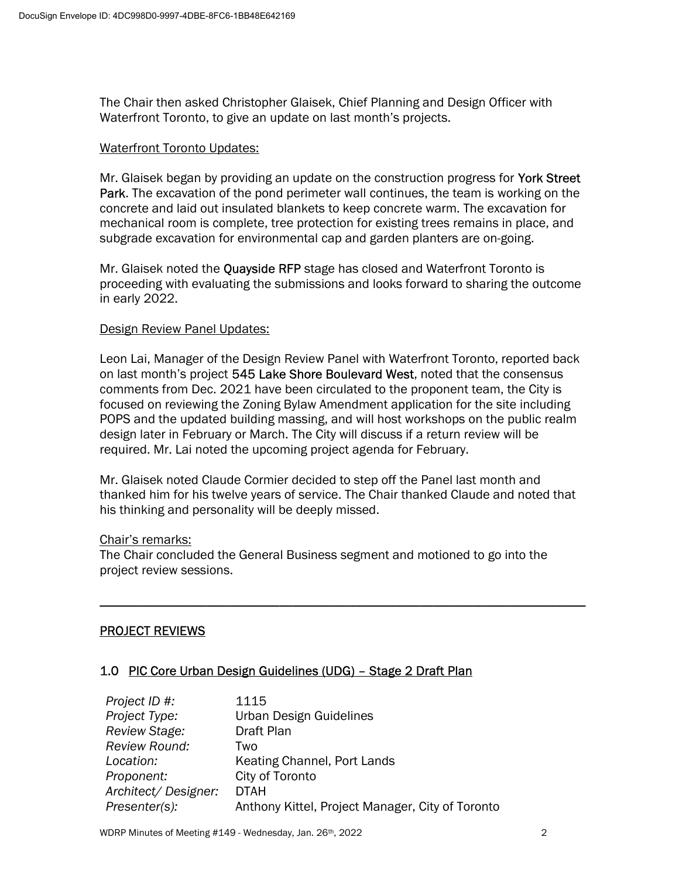The Chair then asked Christopher Glaisek, Chief Planning and Design Officer with Waterfront Toronto, to give an update on last month's projects.

#### Waterfront Toronto Updates:

Mr. Glaisek began by providing an update on the construction progress for York Street Park. The excavation of the pond perimeter wall continues, the team is working on the concrete and laid out insulated blankets to keep concrete warm. The excavation for mechanical room is complete, tree protection for existing trees remains in place, and subgrade excavation for environmental cap and garden planters are on-going.

Mr. Glaisek noted the Quayside RFP stage has closed and Waterfront Toronto is proceeding with evaluating the submissions and looks forward to sharing the outcome in early 2022.

#### Design Review Panel Updates:

Leon Lai, Manager of the Design Review Panel with Waterfront Toronto, reported back on last month's project 545 Lake Shore Boulevard West, noted that the consensus comments from Dec. 2021 have been circulated to the proponent team, the City is focused on reviewing the Zoning Bylaw Amendment application for the site including POPS and the updated building massing, and will host workshops on the public realm design later in February or March. The City will discuss if a return review will be required. Mr. Lai noted the upcoming project agenda for February.

Mr. Glaisek noted Claude Cormier decided to step off the Panel last month and thanked him for his twelve years of service. The Chair thanked Claude and noted that his thinking and personality will be deeply missed.

\_\_\_\_\_\_\_\_\_\_\_\_\_\_\_\_\_\_\_\_\_\_\_\_\_\_\_\_\_\_\_\_\_\_\_\_\_\_\_\_\_\_\_\_\_\_\_\_\_\_\_\_\_\_\_\_\_\_\_\_\_\_\_\_\_\_\_\_\_\_\_\_\_

#### Chair's remarks:

The Chair concluded the General Business segment and motioned to go into the project review sessions.

### PROJECT REVIEWS

### 1.0 PIC Core Urban Design Guidelines (UDG) – Stage 2 Draft Plan

| Project ID #:        | 1115                                             |
|----------------------|--------------------------------------------------|
| Project Type:        | Urban Design Guidelines                          |
| Review Stage:        | Draft Plan                                       |
| <b>Review Round:</b> | Two                                              |
| Location:            | Keating Channel, Port Lands                      |
| Proponent:           | City of Toronto                                  |
| Architect/Designer:  | <b>DTAH</b>                                      |
| Presenter(s):        | Anthony Kittel, Project Manager, City of Toronto |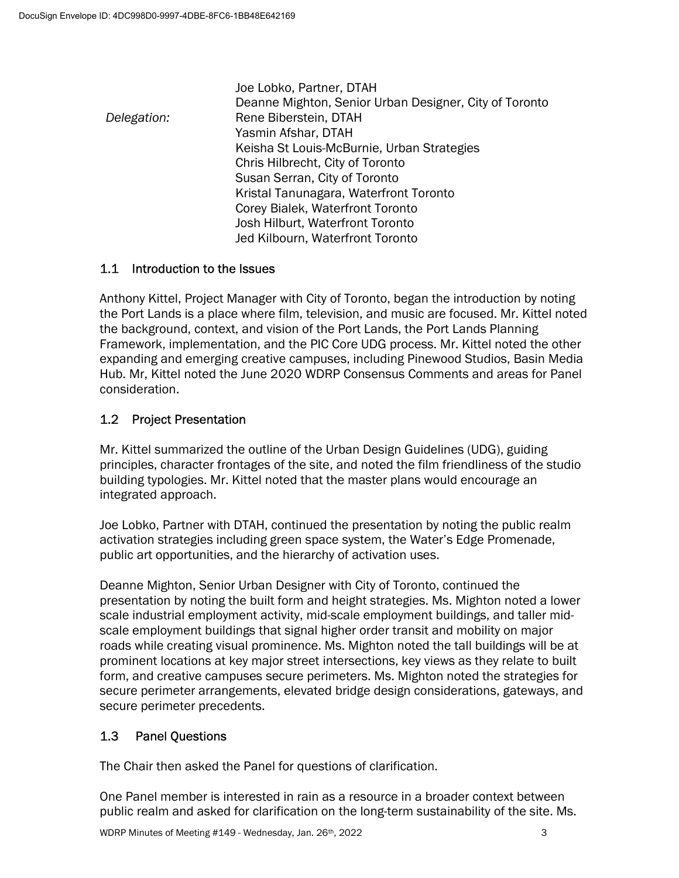Joe Lobko, Partner, DTAH Deanne Mighton, Senior Urban Designer, City of Toronto Delegation: Rene Biberstein, DTAH Yasmin Afshar, DTAH Keisha St Louis-McBurnie, Urban Strategies Chris Hilbrecht, City of Toronto Susan Serran, City of Toronto Kristal Tanunagara, Waterfront Toronto Corey Bialek, Waterfront Toronto Josh Hilburt, Waterfront Toronto Jed Kilbourn, Waterfront Toronto

## 1.1 Introduction to the Issues

Anthony Kittel, Project Manager with City of Toronto, began the introduction by noting the Port Lands is a place where film, television, and music are focused. Mr. Kittel noted the background, context, and vision of the Port Lands, the Port Lands Planning Framework, implementation, and the PIC Core UDG process. Mr. Kittel noted the other expanding and emerging creative campuses, including Pinewood Studios, Basin Media Hub. Mr, Kittel noted the June 2020 WDRP Consensus Comments and areas for Panel consideration.

## 1.2 Project Presentation

Mr. Kittel summarized the outline of the Urban Design Guidelines (UDG), guiding principles, character frontages of the site, and noted the film friendliness of the studio building typologies. Mr. Kittel noted that the master plans would encourage an integrated approach.

Joe Lobko, Partner with DTAH, continued the presentation by noting the public realm activation strategies including green space system, the Water's Edge Promenade, public art opportunities, and the hierarchy of activation uses.

Deanne Mighton, Senior Urban Designer with City of Toronto, continued the presentation by noting the built form and height strategies. Ms. Mighton noted a lower scale industrial employment activity, mid-scale employment buildings, and taller midscale employment buildings that signal higher order transit and mobility on major roads while creating visual prominence. Ms. Mighton noted the tall buildings will be at prominent locations at key major street intersections, key views as they relate to built form, and creative campuses secure perimeters. Ms. Mighton noted the strategies for secure perimeter arrangements, elevated bridge design considerations, gateways, and secure perimeter precedents.

## 1.3 Panel Questions

The Chair then asked the Panel for questions of clarification.

One Panel member is interested in rain as a resource in a broader context between public realm and asked for clarification on the long-term sustainability of the site. Ms.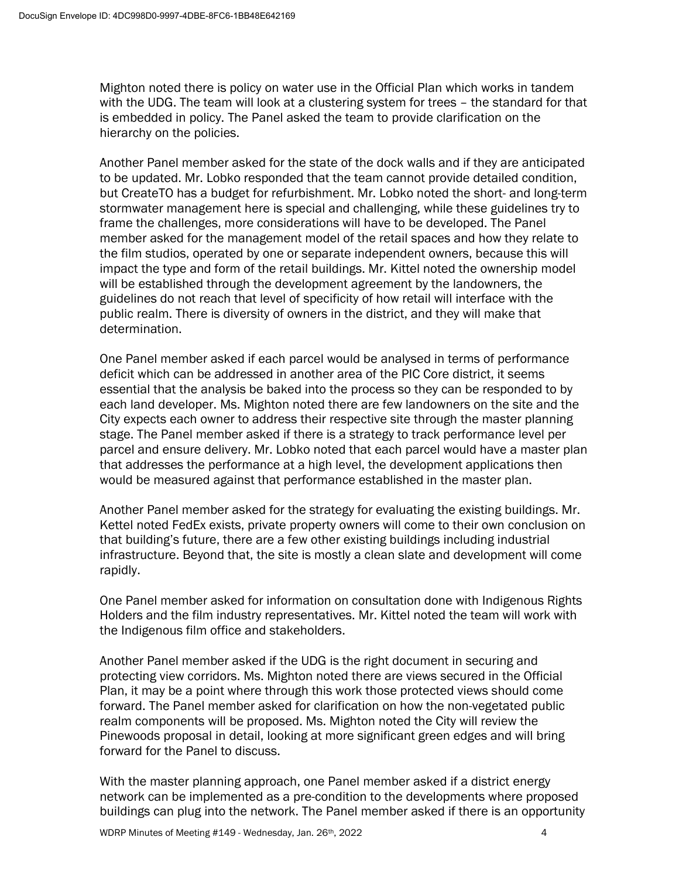Mighton noted there is policy on water use in the Official Plan which works in tandem with the UDG. The team will look at a clustering system for trees – the standard for that is embedded in policy. The Panel asked the team to provide clarification on the hierarchy on the policies.

Another Panel member asked for the state of the dock walls and if they are anticipated to be updated. Mr. Lobko responded that the team cannot provide detailed condition, but CreateTO has a budget for refurbishment. Mr. Lobko noted the short- and long-term stormwater management here is special and challenging, while these guidelines try to frame the challenges, more considerations will have to be developed. The Panel member asked for the management model of the retail spaces and how they relate to the film studios, operated by one or separate independent owners, because this will impact the type and form of the retail buildings. Mr. Kittel noted the ownership model will be established through the development agreement by the landowners, the guidelines do not reach that level of specificity of how retail will interface with the public realm. There is diversity of owners in the district, and they will make that determination.

One Panel member asked if each parcel would be analysed in terms of performance deficit which can be addressed in another area of the PIC Core district, it seems essential that the analysis be baked into the process so they can be responded to by each land developer. Ms. Mighton noted there are few landowners on the site and the City expects each owner to address their respective site through the master planning stage. The Panel member asked if there is a strategy to track performance level per parcel and ensure delivery. Mr. Lobko noted that each parcel would have a master plan that addresses the performance at a high level, the development applications then would be measured against that performance established in the master plan.

Another Panel member asked for the strategy for evaluating the existing buildings. Mr. Kettel noted FedEx exists, private property owners will come to their own conclusion on that building's future, there are a few other existing buildings including industrial infrastructure. Beyond that, the site is mostly a clean slate and development will come rapidly.

One Panel member asked for information on consultation done with Indigenous Rights Holders and the film industry representatives. Mr. Kittel noted the team will work with the Indigenous film office and stakeholders.

Another Panel member asked if the UDG is the right document in securing and protecting view corridors. Ms. Mighton noted there are views secured in the Official Plan, it may be a point where through this work those protected views should come forward. The Panel member asked for clarification on how the non-vegetated public realm components will be proposed. Ms. Mighton noted the City will review the Pinewoods proposal in detail, looking at more significant green edges and will bring forward for the Panel to discuss.

With the master planning approach, one Panel member asked if a district energy network can be implemented as a pre-condition to the developments where proposed buildings can plug into the network. The Panel member asked if there is an opportunity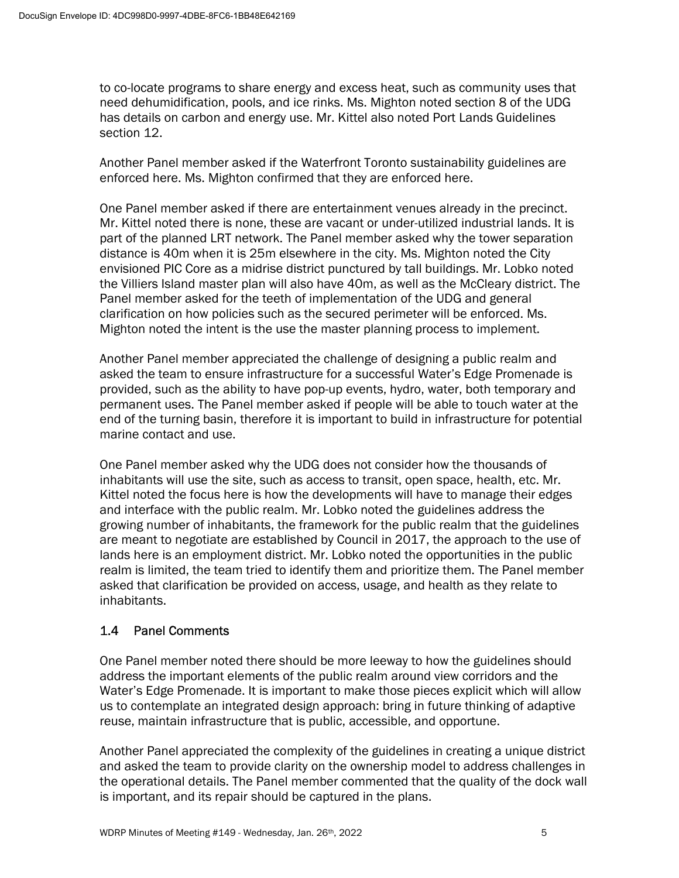to co-locate programs to share energy and excess heat, such as community uses that need dehumidification, pools, and ice rinks. Ms. Mighton noted section 8 of the UDG has details on carbon and energy use. Mr. Kittel also noted Port Lands Guidelines section 12.

Another Panel member asked if the Waterfront Toronto sustainability guidelines are enforced here. Ms. Mighton confirmed that they are enforced here.

One Panel member asked if there are entertainment venues already in the precinct. Mr. Kittel noted there is none, these are vacant or under-utilized industrial lands. It is part of the planned LRT network. The Panel member asked why the tower separation distance is 40m when it is 25m elsewhere in the city. Ms. Mighton noted the City envisioned PIC Core as a midrise district punctured by tall buildings. Mr. Lobko noted the Villiers Island master plan will also have 40m, as well as the McCleary district. The Panel member asked for the teeth of implementation of the UDG and general clarification on how policies such as the secured perimeter will be enforced. Ms. Mighton noted the intent is the use the master planning process to implement.

Another Panel member appreciated the challenge of designing a public realm and asked the team to ensure infrastructure for a successful Water's Edge Promenade is provided, such as the ability to have pop-up events, hydro, water, both temporary and permanent uses. The Panel member asked if people will be able to touch water at the end of the turning basin, therefore it is important to build in infrastructure for potential marine contact and use.

One Panel member asked why the UDG does not consider how the thousands of inhabitants will use the site, such as access to transit, open space, health, etc. Mr. Kittel noted the focus here is how the developments will have to manage their edges and interface with the public realm. Mr. Lobko noted the guidelines address the growing number of inhabitants, the framework for the public realm that the guidelines are meant to negotiate are established by Council in 2017, the approach to the use of lands here is an employment district. Mr. Lobko noted the opportunities in the public realm is limited, the team tried to identify them and prioritize them. The Panel member asked that clarification be provided on access, usage, and health as they relate to inhabitants.

# 1.4 Panel Comments

One Panel member noted there should be more leeway to how the guidelines should address the important elements of the public realm around view corridors and the Water's Edge Promenade. It is important to make those pieces explicit which will allow us to contemplate an integrated design approach: bring in future thinking of adaptive reuse, maintain infrastructure that is public, accessible, and opportune.

Another Panel appreciated the complexity of the guidelines in creating a unique district and asked the team to provide clarity on the ownership model to address challenges in the operational details. The Panel member commented that the quality of the dock wall is important, and its repair should be captured in the plans.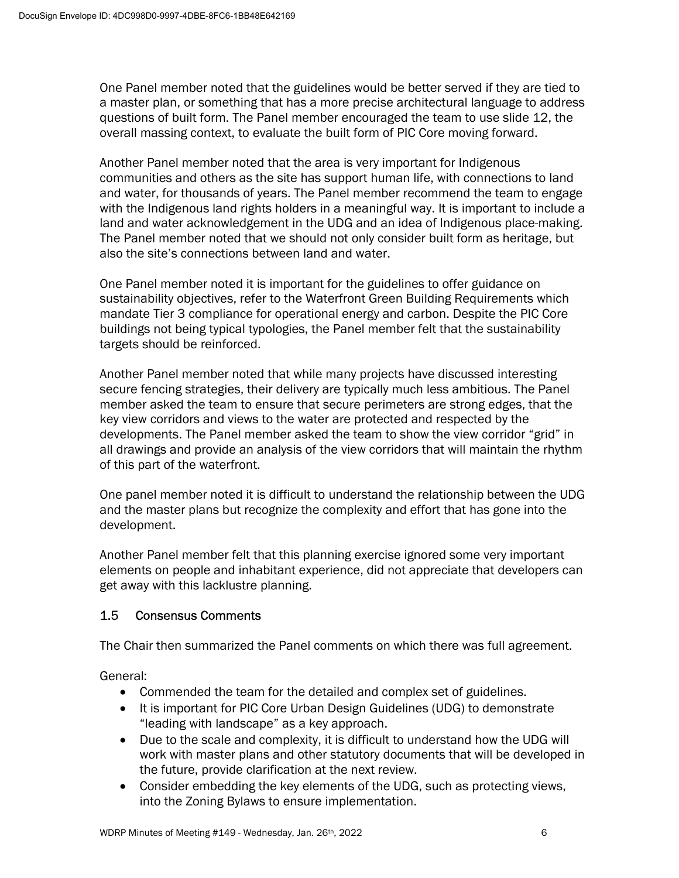One Panel member noted that the guidelines would be better served if they are tied to a master plan, or something that has a more precise architectural language to address questions of built form. The Panel member encouraged the team to use slide 12, the overall massing context, to evaluate the built form of PIC Core moving forward.

Another Panel member noted that the area is very important for Indigenous communities and others as the site has support human life, with connections to land and water, for thousands of years. The Panel member recommend the team to engage with the Indigenous land rights holders in a meaningful way. It is important to include a land and water acknowledgement in the UDG and an idea of Indigenous place-making. The Panel member noted that we should not only consider built form as heritage, but also the site's connections between land and water.

One Panel member noted it is important for the guidelines to offer guidance on sustainability objectives, refer to the Waterfront Green Building Requirements which mandate Tier 3 compliance for operational energy and carbon. Despite the PIC Core buildings not being typical typologies, the Panel member felt that the sustainability targets should be reinforced.

Another Panel member noted that while many projects have discussed interesting secure fencing strategies, their delivery are typically much less ambitious. The Panel member asked the team to ensure that secure perimeters are strong edges, that the key view corridors and views to the water are protected and respected by the developments. The Panel member asked the team to show the view corridor "grid" in all drawings and provide an analysis of the view corridors that will maintain the rhythm of this part of the waterfront.

One panel member noted it is difficult to understand the relationship between the UDG and the master plans but recognize the complexity and effort that has gone into the development.

Another Panel member felt that this planning exercise ignored some very important elements on people and inhabitant experience, did not appreciate that developers can get away with this lacklustre planning.

## 1.5 Consensus Comments

The Chair then summarized the Panel comments on which there was full agreement.

General:

- Commended the team for the detailed and complex set of guidelines.
- It is important for PIC Core Urban Design Guidelines (UDG) to demonstrate "leading with landscape" as a key approach.
- Due to the scale and complexity, it is difficult to understand how the UDG will work with master plans and other statutory documents that will be developed in the future, provide clarification at the next review.
- Consider embedding the key elements of the UDG, such as protecting views, into the Zoning Bylaws to ensure implementation.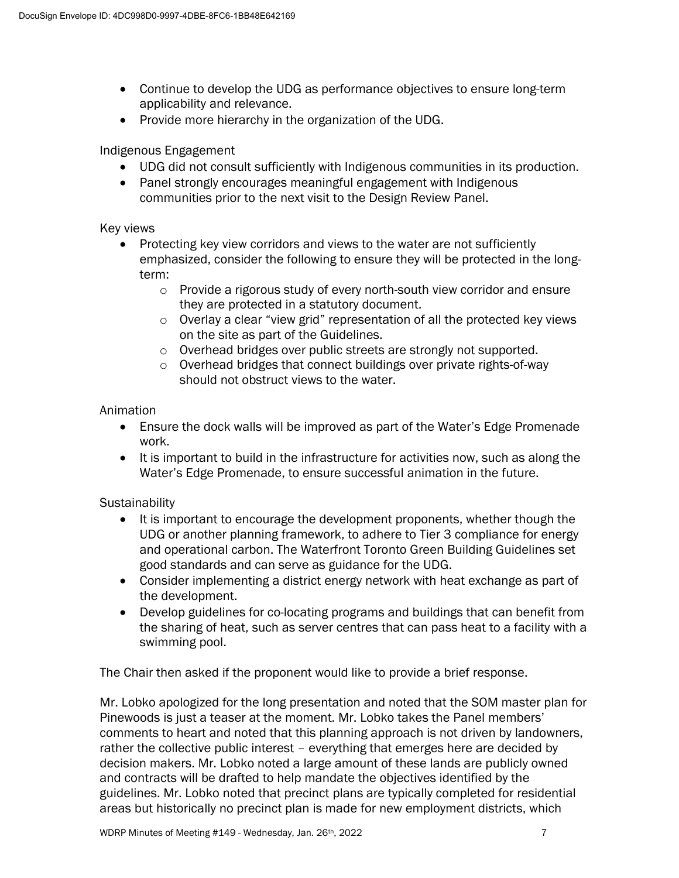- Continue to develop the UDG as performance objectives to ensure long-term applicability and relevance.
- Provide more hierarchy in the organization of the UDG.

## Indigenous Engagement

- UDG did not consult sufficiently with Indigenous communities in its production.
- Panel strongly encourages meaningful engagement with Indigenous communities prior to the next visit to the Design Review Panel.

### Key views

- Protecting key view corridors and views to the water are not sufficiently emphasized, consider the following to ensure they will be protected in the longterm:
	- o Provide a rigorous study of every north-south view corridor and ensure they are protected in a statutory document.
	- o Overlay a clear "view grid" representation of all the protected key views on the site as part of the Guidelines.
	- o Overhead bridges over public streets are strongly not supported.
	- o Overhead bridges that connect buildings over private rights-of-way should not obstruct views to the water.

### Animation

- Ensure the dock walls will be improved as part of the Water's Edge Promenade work.
- It is important to build in the infrastructure for activities now, such as along the Water's Edge Promenade, to ensure successful animation in the future.

## **Sustainability**

- It is important to encourage the development proponents, whether though the UDG or another planning framework, to adhere to Tier 3 compliance for energy and operational carbon. The Waterfront Toronto Green Building Guidelines set good standards and can serve as guidance for the UDG.
- Consider implementing a district energy network with heat exchange as part of the development.
- Develop guidelines for co-locating programs and buildings that can benefit from the sharing of heat, such as server centres that can pass heat to a facility with a swimming pool.

The Chair then asked if the proponent would like to provide a brief response.

Mr. Lobko apologized for the long presentation and noted that the SOM master plan for Pinewoods is just a teaser at the moment. Mr. Lobko takes the Panel members' comments to heart and noted that this planning approach is not driven by landowners, rather the collective public interest – everything that emerges here are decided by decision makers. Mr. Lobko noted a large amount of these lands are publicly owned and contracts will be drafted to help mandate the objectives identified by the guidelines. Mr. Lobko noted that precinct plans are typically completed for residential areas but historically no precinct plan is made for new employment districts, which